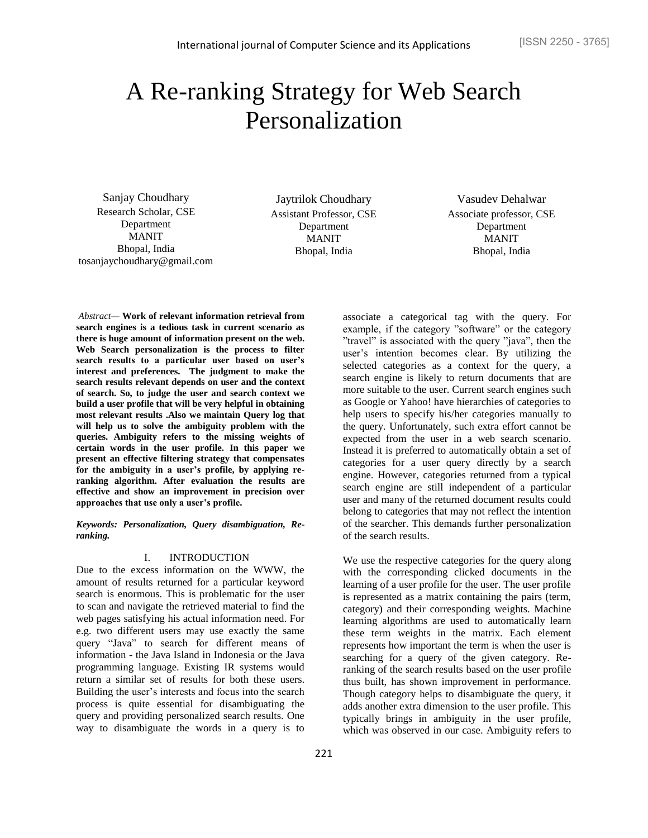# A Re-ranking Strategy for Web Search Personalization

Sanjay Choudhary Research Scholar, CSE Department MANIT Bhopal, India [tosanjaychoudhary@gmail.com](mailto:tosanjaychoudhary@gmail.com)

Jaytrilok Choudhary Assistant Professor, CSE Department MANIT Bhopal, India

Vasudev Dehalwar Associate professor, CSE Department MANIT Bhopal, India

*Abstract—* **Work of relevant information retrieval from search engines is a tedious task in current scenario as there is huge amount of information present on the web. Web Search personalization is the process to filter search results to a particular user based on user's interest and preferences. The judgment to make the search results relevant depends on user and the context of search. So, to judge the user and search context we build a user profile that will be very helpful in obtaining most relevant results .Also we maintain Query log that will help us to solve the ambiguity problem with the queries. Ambiguity refers to the missing weights of certain words in the user profile. In this paper we present an effective filtering strategy that compensates for the ambiguity in a user's profile, by applying reranking algorithm. After evaluation the results are effective and show an improvement in precision over approaches that use only a user's profile.**

*Keywords: Personalization, Query disambiguation, Reranking.*

## I. INTRODUCTION

Due to the excess information on the WWW, the amount of results returned for a particular keyword search is enormous. This is problematic for the user to scan and navigate the retrieved material to find the web pages satisfying his actual information need. For e.g. two different users may use exactly the same query "Java" to search for different means of information - the Java Island in Indonesia or the Java programming language. Existing IR systems would return a similar set of results for both these users. Building the user's interests and focus into the search process is quite essential for disambiguating the query and providing personalized search results. One way to disambiguate the words in a query is to associate a categorical tag with the query. For example, if the category "software" or the category "travel" is associated with the query "java", then the user's intention becomes clear. By utilizing the selected categories as a context for the query, a search engine is likely to return documents that are more suitable to the user. Current search engines such as Google or Yahoo! have hierarchies of categories to help users to specify his/her categories manually to the query. Unfortunately, such extra effort cannot be expected from the user in a web search scenario. Instead it is preferred to automatically obtain a set of categories for a user query directly by a search engine. However, categories returned from a typical search engine are still independent of a particular user and many of the returned document results could belong to categories that may not reflect the intention of the searcher. This demands further personalization of the search results.

We use the respective categories for the query along with the corresponding clicked documents in the learning of a user profile for the user. The user profile is represented as a matrix containing the pairs (term, category) and their corresponding weights. Machine learning algorithms are used to automatically learn these term weights in the matrix. Each element represents how important the term is when the user is searching for a query of the given category. Reranking of the search results based on the user profile thus built, has shown improvement in performance. Though category helps to disambiguate the query, it adds another extra dimension to the user profile. This typically brings in ambiguity in the user profile, which was observed in our case. Ambiguity refers to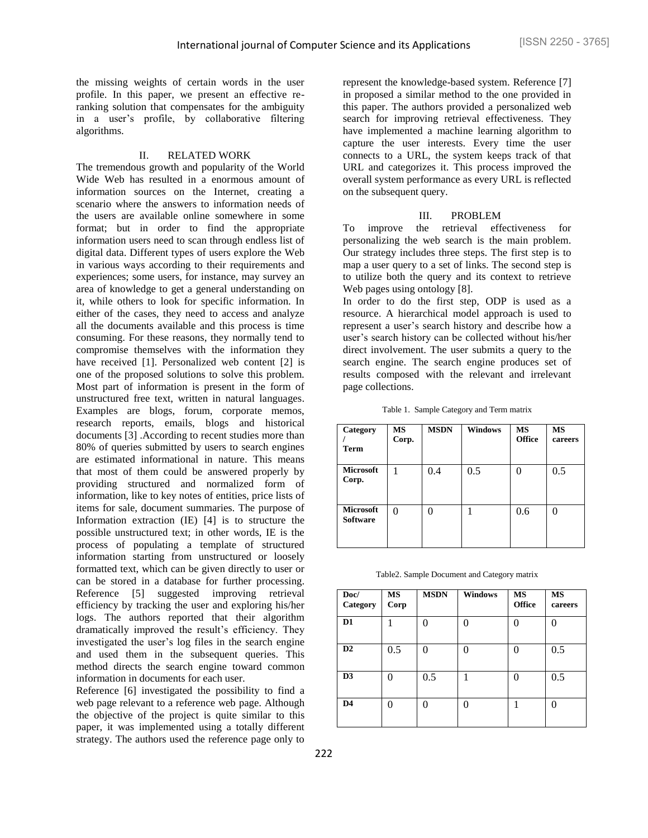the missing weights of certain words in the user profile. In this paper, we present an effective reranking solution that compensates for the ambiguity in a user's profile, by collaborative filtering algorithms.

#### II. RELATED WORK

The tremendous growth and popularity of the World Wide Web has resulted in a enormous amount of information sources on the Internet, creating a scenario where the answers to information needs of the users are available online somewhere in some format; but in order to find the appropriate information users need to scan through endless list of digital data. Different types of users explore the Web in various ways according to their requirements and experiences; some users, for instance, may survey an area of knowledge to get a general understanding on it, while others to look for specific information. In either of the cases, they need to access and analyze all the documents available and this process is time consuming. For these reasons, they normally tend to compromise themselves with the information they have received [1]. Personalized web content [2] is one of the proposed solutions to solve this problem. Most part of information is present in the form of unstructured free text, written in natural languages. Examples are blogs, forum, corporate memos, research reports, emails, blogs and historical documents [3] .According to recent studies more than 80% of queries submitted by users to search engines are estimated informational in nature. This means that most of them could be answered properly by providing structured and normalized form of information, like to key notes of entities, price lists of items for sale, document summaries. The purpose of Information extraction (IE) [4] is to structure the possible unstructured text; in other words, IE is the process of populating a template of structured information starting from unstructured or loosely formatted text, which can be given directly to user or can be stored in a database for further processing. Reference [5] suggested improving retrieval efficiency by tracking the user and exploring his/her logs. The authors reported that their algorithm dramatically improved the result's efficiency. They investigated the user's log files in the search engine and used them in the subsequent queries. This method directs the search engine toward common information in documents for each user.

Reference [6] investigated the possibility to find a web page relevant to a reference web page. Although the objective of the project is quite similar to this paper, it was implemented using a totally different strategy. The authors used the reference page only to

represent the knowledge-based system. Reference [7] in proposed a similar method to the one provided in this paper. The authors provided a personalized web search for improving retrieval effectiveness. They have implemented a machine learning algorithm to capture the user interests. Every time the user connects to a URL, the system keeps track of that URL and categorizes it. This process improved the overall system performance as every URL is reflected on the subsequent query.

# III. PROBLEM

To improve the retrieval effectiveness for personalizing the web search is the main problem. Our strategy includes three steps. The first step is to map a user query to a set of links. The second step is to utilize both the query and its context to retrieve Web pages using ontology [8].

In order to do the first step, ODP is used as a resource. A hierarchical model approach is used to represent a user's search history and describe how a user's search history can be collected without his/her direct involvement. The user submits a query to the search engine. The search engine produces set of results composed with the relevant and irrelevant page collections.

|  |  | Table 1. Sample Category and Term matrix |  |
|--|--|------------------------------------------|--|
|--|--|------------------------------------------|--|

| Category<br><b>Term</b>             | <b>MS</b><br>Corp. | <b>MSDN</b> | <b>Windows</b> | MS<br><b>Office</b> | <b>MS</b><br>careers |
|-------------------------------------|--------------------|-------------|----------------|---------------------|----------------------|
| <b>Microsoft</b><br>Corp.           |                    | 0.4         | 0.5            | $\Omega$            | 0.5                  |
| <b>Microsoft</b><br><b>Software</b> | 0                  |             |                | 0.6                 | 0                    |

Table2. Sample Document and Category matrix

| Doc/<br>Category | <b>MS</b><br>Corp | <b>MSDN</b> | <b>Windows</b> | <b>MS</b><br><b>Office</b> | <b>MS</b><br>careers |
|------------------|-------------------|-------------|----------------|----------------------------|----------------------|
| D <sub>1</sub>   |                   | 0           | 0              | 0                          |                      |
| $\mathbf{D2}$    | 0.5               | 0           | 0              | 0                          | 0.5                  |
| D <sub>3</sub>   | 0                 | 0.5         |                | 0                          | 0.5                  |
| D4               | 0                 |             | 0              |                            |                      |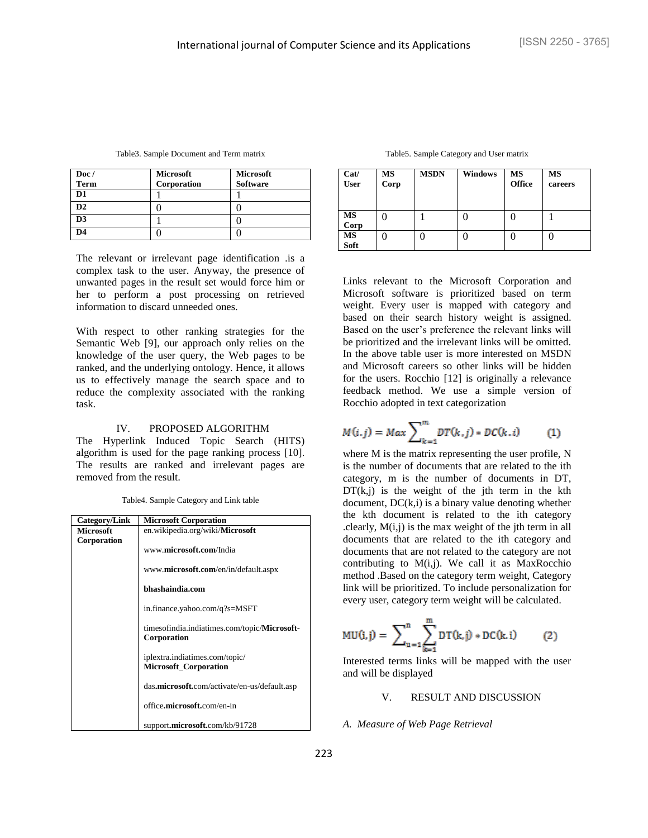| Doc/           | Microsoft   | <b>Microsoft</b> |
|----------------|-------------|------------------|
| Term           | Corporation | <b>Software</b>  |
| D <sub>1</sub> |             |                  |
| D2             |             |                  |
| D <sub>3</sub> |             |                  |
| D <sub>4</sub> |             |                  |

Table3. Sample Document and Term matrix

The relevant or irrelevant page identification .is a complex task to the user. Anyway, the presence of unwanted pages in the result set would force him or her to perform a post processing on retrieved information to discard unneeded ones.

With respect to other ranking strategies for the Semantic Web [9], our approach only relies on the knowledge of the user query, the Web pages to be ranked, and the underlying ontology. Hence, it allows us to effectively manage the search space and to reduce the complexity associated with the ranking task.

#### IV. PROPOSED ALGORITHM

The Hyperlink Induced Topic Search (HITS) algorithm is used for the page ranking process [10]. The results are ranked and irrelevant pages are removed from the result.

| Category/Link    | <b>Microsoft Corporation</b>                                        |
|------------------|---------------------------------------------------------------------|
| <b>Microsoft</b> | en.wikipedia.org/wiki/Microsoft                                     |
| Corporation      | www.microsoft.com/India                                             |
|                  | www. <b>microsoft.com</b> /en/in/default.aspx                       |
|                  | bhashaindia.com                                                     |
|                  | in.finance.yahoo.com/q?s=MSFT                                       |
|                  | timesofindia.indiatimes.com/topic/ <b>Microsoft-</b><br>Corporation |
|                  | iplextra.indiatimes.com/topic/<br><b>Microsoft_Corporation</b>      |
|                  | das.microsoft.com/activate/en-us/default.asp                        |
|                  | office.microsoft.com/en-in                                          |
|                  | support.microsoft.com/kb/91728                                      |

| Table5. Sample Category and User matrix |  |  |  |
|-----------------------------------------|--|--|--|
|-----------------------------------------|--|--|--|

| Cat/<br><b>User</b> | MS<br>Corp | <b>MSDN</b> | <b>Windows</b> | <b>MS</b><br><b>Office</b> | <b>MS</b><br>careers |
|---------------------|------------|-------------|----------------|----------------------------|----------------------|
| MS<br>Corp          |            |             |                |                            |                      |
| <b>MS</b><br>Soft   |            |             |                |                            |                      |

Links relevant to the Microsoft Corporation and Microsoft software is prioritized based on term weight. Every user is mapped with category and based on their search history weight is assigned. Based on the user's preference the relevant links will be prioritized and the irrelevant links will be omitted. In the above table user is more interested on MSDN and Microsoft careers so other links will be hidden for the users. Rocchio [12] is originally a relevance feedback method. We use a simple version of Rocchio adopted in text categorization

$$
M(i,j) = Max \sum_{k=1}^{m} DT(k,j) * DC(k,i) \tag{1}
$$

where M is the matrix representing the user profile, N is the number of documents that are related to the ith category, m is the number of documents in DT,  $DT(k,j)$  is the weight of the jth term in the kth document,  $DC(k,i)$  is a binary value denoting whether the kth document is related to the ith category .clearly,  $M(i,j)$  is the max weight of the jth term in all documents that are related to the ith category and documents that are not related to the category are not contributing to  $M(i,j)$ . We call it as MaxRocchio method .Based on the category term weight, Category link will be prioritized. To include personalization for every user, category term weight will be calculated.

$$
MU(i,j) = \sum_{u=1}^{n} \sum_{k=1}^{m} DT(k,j) * DC(k,i)
$$
 (2)

Interested terms links will be mapped with the user and will be displayed

# V. RESULT AND DISCUSSION

*A. Measure of Web Page Retrieval*